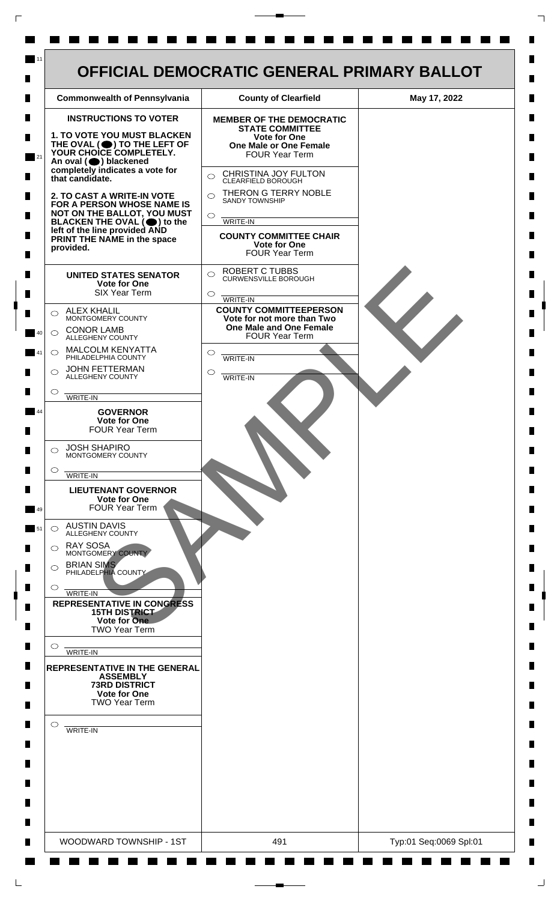

 $\mathsf{L}$